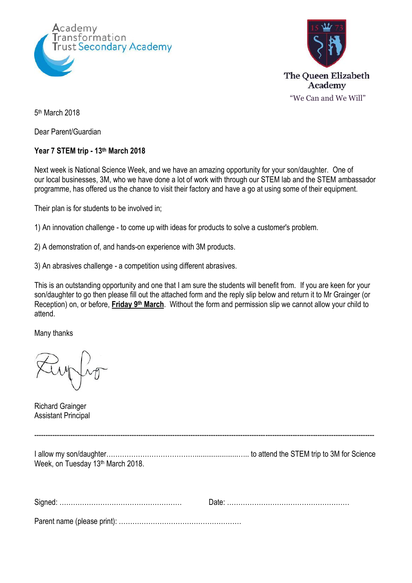



5<sup>th</sup> March 2018

Dear Parent/Guardian

## **Year 7 STEM trip - 13th March 2018**

Next week is National Science Week, and we have an amazing opportunity for your son/daughter. One of our local businesses, 3M, who we have done a lot of work with through our STEM lab and the STEM ambassador programme, has offered us the chance to visit their factory and have a go at using some of their equipment.

Their plan is for students to be involved in;

1) An innovation challenge - to come up with ideas for products to solve a customer's problem.

2) A demonstration of, and hands-on experience with 3M products.

3) An abrasives challenge - a competition using different abrasives.

This is an outstanding opportunity and one that I am sure the students will benefit from. If you are keen for your son/daughter to go then please fill out the attached form and the reply slip below and return it to Mr Grainger (or Reception) on, or before, **Friday 9<sup>th</sup> March**. Without the form and permission slip we cannot allow your child to attend.

Many thanks

Richard Grainger Assistant Principal

I allow my son/daughter………………………………….......................….. to attend the STEM trip to 3M for Science Week, on Tuesday 13<sup>th</sup> March 2018.

------------------------------------------------------------------------------------------------------------------------------------------------------

Parent name (please print): ………………………………………………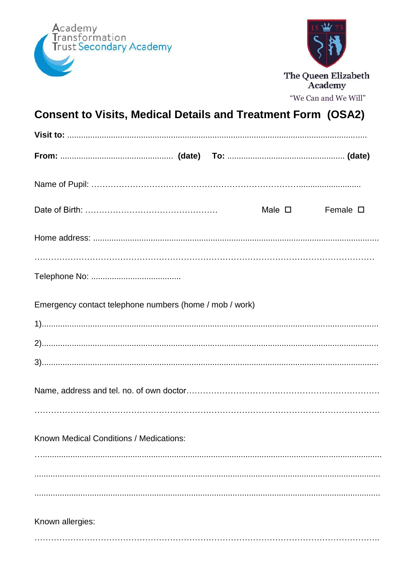



## **Consent to Visits, Medical Details and Treatment Form (OSA2)**

|                                                         |  | Male $\square$ | Female $\square$ |
|---------------------------------------------------------|--|----------------|------------------|
|                                                         |  |                |                  |
|                                                         |  |                |                  |
|                                                         |  |                |                  |
| Emergency contact telephone numbers (home / mob / work) |  |                |                  |
|                                                         |  |                |                  |
|                                                         |  |                |                  |
|                                                         |  |                |                  |
|                                                         |  |                |                  |
|                                                         |  |                |                  |
| Known Medical Conditions / Medications:                 |  |                |                  |
|                                                         |  |                |                  |
|                                                         |  |                |                  |
|                                                         |  |                |                  |
| Known allergies:                                        |  |                |                  |
|                                                         |  |                |                  |